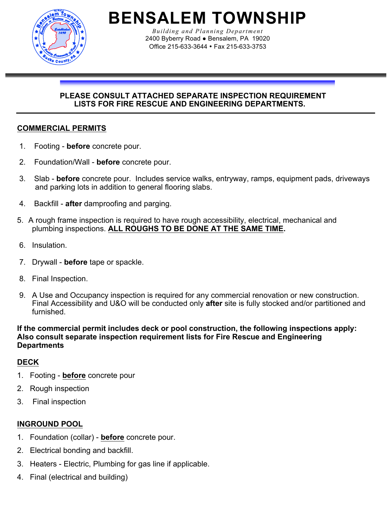

**BENSALEM TOWNSHIP**

*Building and Planning Department* 2400 Byberry Road ● Bensalem, PA 19020 Office 215-633-3644 • Fax 215-633-3753

### **PLEASE CONSULT ATTACHED SEPARATE INSPECTION REQUIREMENT LISTS FOR FIRE RESCUE AND ENGINEERING DEPARTMENTS.**

## **COMMERCIAL PERMITS**

- 1. Footing **before** concrete pour.
- 2. Foundation/Wall **before** concrete pour.
- 3. Slab **before** concrete pour. Includes service walks, entryway, ramps, equipment pads, driveways and parking lots in addition to general flooring slabs.
- 4. Backfill **after** damproofing and parging.
- 5. A rough frame inspection is required to have rough accessibility, electrical, mechanical and plumbing inspections. **ALL ROUGHS TO BE DONE AT THE SAME TIME.**
- 6. Insulation.
- 7. Drywall **before** tape or spackle.
- 8. Final Inspection.
- 9. A Use and Occupancy inspection is required for any commercial renovation or new construction. Final Accessibility and U&O will be conducted only **after** site is fully stocked and/or partitioned and furnished.

### **If the commercial permit includes deck or pool construction, the following inspections apply: Also consult separate inspection requirement lists for Fire Rescue and Engineering Departments**

## **DECK**

- 1. Footing **before** concrete pour
- 2. Rough inspection
- 3. Final inspection

## **INGROUND POOL**

- 1. Foundation (collar) **before** concrete pour.
- 2. Electrical bonding and backfill.
- 3. Heaters Electric, Plumbing for gas line if applicable.
- 4. Final (electrical and building)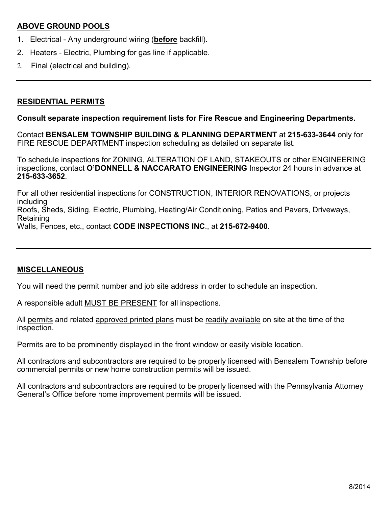## **ABOVE GROUND POOLS**

- 1. Electrical Any underground wiring (**before** backfill).
- 2. Heaters Electric, Plumbing for gas line if applicable.
- 2. Final (electrical and building).

## **RESIDENTIAL PERMITS**

## **Consult separate inspection requirement lists for Fire Rescue and Engineering Departments.**

Contact **BENSALEM TOWNSHIP BUILDING & PLANNING DEPARTMENT** at **215-633-3644** only for FIRE RESCUE DEPARTMENT inspection scheduling as detailed on separate list.

To schedule inspections for ZONING, ALTERATION OF LAND, STAKEOUTS or other ENGINEERING inspections, contact **O'DONNELL & NACCARATO ENGINEERING** Inspector 24 hours in advance at **215-633-3652**.

For all other residential inspections for CONSTRUCTION, INTERIOR RENOVATIONS, or projects including Roofs, Sheds, Siding, Electric, Plumbing, Heating/Air Conditioning, Patios and Pavers, Driveways, **Retaining** 

Walls, Fences, etc., contact **CODE INSPECTIONS INC**., at **215-672-9400**.

## **MISCELLANEOUS**

You will need the permit number and job site address in order to schedule an inspection.

A responsible adult MUST BE PRESENT for all inspections.

All permits and related approved printed plans must be readily available on site at the time of the inspection.

Permits are to be prominently displayed in the front window or easily visible location.

All contractors and subcontractors are required to be properly licensed with Bensalem Township before commercial permits or new home construction permits will be issued.

All contractors and subcontractors are required to be properly licensed with the Pennsylvania Attorney General's Office before home improvement permits will be issued.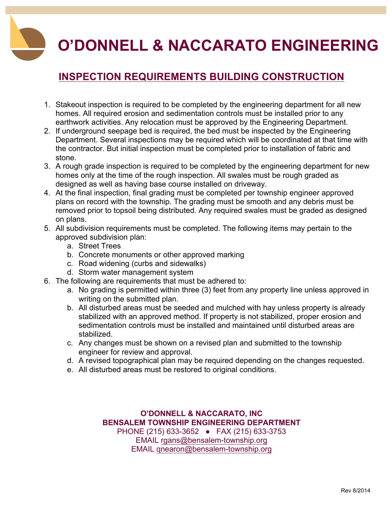# **O'DONNELL & NACCARATO ENGINEERING**

# **INSPECTION REQUIREMENTS BUILDING CONSTRUCTION**

- 1. Stakeout inspection is required to be completed by the engineering department for all new homes. All required erosion and sedimentation controls must be installed prior to any earthwork activities. Any relocation must be approved by the Engineering Department.
- 2. If underground seepage bed is required, the bed must be inspected by the Engineering Department. Several inspections may be required which will be coordinated at that time with the contractor. But initial inspection must be completed prior to installation of fabric and stone.
- 3. A rough grade inspection is required to be completed by the engineering department for new homes only at the time of the rough inspection. All swales must be rough graded as designed as well as having base course installed on driveway.
- 4. At the final inspection, final grading must be completed per township engineer approved plans on record with the township. The grading must be smooth and any debris must be removed prior to topsoil being distributed. Any required swales must be graded as designed on plans.
- 5. All subdivision requirements must be completed. The following items may pertain to the approved subdivision plan:
	- a. Street Trees
	- b. Concrete monuments or other approved marking
	- c. Road widening (curbs and sidewalks)
	- d. Storm water management system
- 6. The following are requirements that must be adhered to:
	- a. No grading is permitted within three (3) feet from any property line unless approved in writing on the submitted plan.
	- b. All disturbed areas must be seeded and mulched with hay unless property is already stabilized with an approved method. If property is not stabilized, proper erosion and sedimentation controls must be installed and maintained until disturbed areas are stabilized.
	- c. Any changes must be shown on a revised plan and submitted to the township engineer for review and approval.
	- d. A revised topographical plan may be required depending on the changes requested.
	- e. All disturbed areas must be restored to original conditions.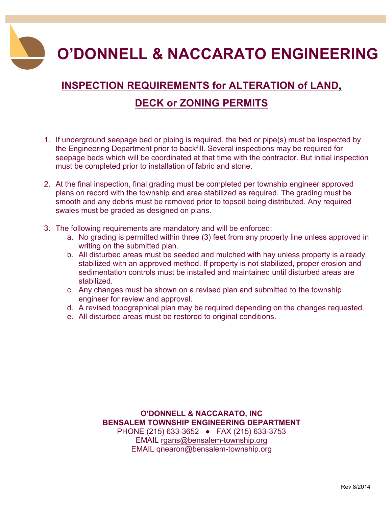**O'DONNELL & NACCARATO ENGINEERING**

# **INSPECTION REQUIREMENTS for ALTERATION of LAND, DECK or ZONING PERMITS**

- 1. If underground seepage bed or piping is required, the bed or pipe(s) must be inspected by the Engineering Department prior to backfill. Several inspections may be required for seepage beds which will be coordinated at that time with the contractor. But initial inspection must be completed prior to installation of fabric and stone.
- 2. At the final inspection, final grading must be completed per township engineer approved plans on record with the township and area stabilized as required. The grading must be smooth and any debris must be removed prior to topsoil being distributed. Any required swales must be graded as designed on plans.
- 3. The following requirements are mandatory and will be enforced:
	- a. No grading is permitted within three (3) feet from any property line unless approved in writing on the submitted plan.
	- b. All disturbed areas must be seeded and mulched with hay unless property is already stabilized with an approved method. If property is not stabilized, proper erosion and sedimentation controls must be installed and maintained until disturbed areas are stabilized.
	- c. Any changes must be shown on a revised plan and submitted to the township engineer for review and approval.
	- d. A revised topographical plan may be required depending on the changes requested.
	- e. All disturbed areas must be restored to original conditions.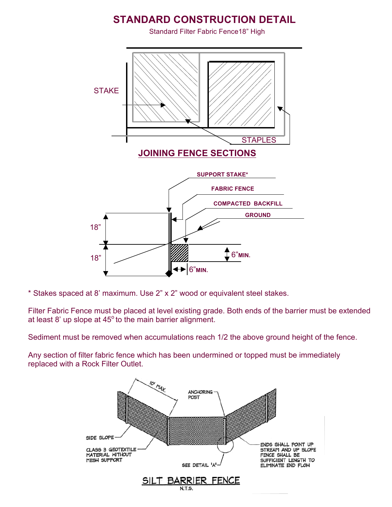## **STANDARD CONSTRUCTION DETAIL**

Standard Filter Fabric Fence18" High



\* Stakes spaced at 8' maximum. Use 2" x 2" wood or equivalent steel stakes.

Filter Fabric Fence must be placed at level existing grade. Both ends of the barrier must be extended at least 8' up slope at  $45^{\circ}$  to the main barrier alignment.

Sediment must be removed when accumulations reach 1/2 the above ground height of the fence.

Any section of filter fabric fence which has been undermined or topped must be immediately replaced with a Rock Filter Outlet.

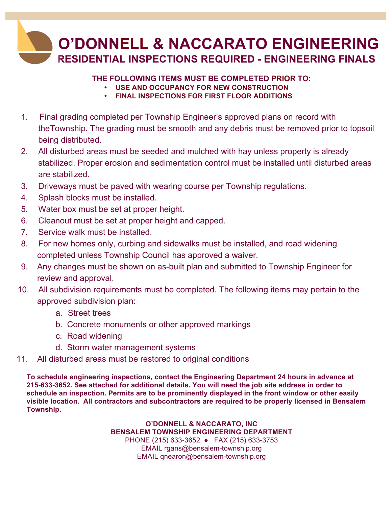

### **THE FOLLOWING ITEMS MUST BE COMPLETED PRIOR TO:**

- **USE AND OCCUPANCY FOR NEW CONSTRUCTION**
- **FINAL INSPECTIONS FOR FIRST FLOOR ADDITIONS**
- 1. Final grading completed per Township Engineer's approved plans on record with theTownship. The grading must be smooth and any debris must be removed prior to topsoil being distributed.
- 2. All disturbed areas must be seeded and mulched with hay unless property is already stabilized. Proper erosion and sedimentation control must be installed until disturbed areas are stabilized.
- 3. Driveways must be paved with wearing course per Township regulations.
- 4. Splash blocks must be installed.
- 5. Water box must be set at proper height.
- 6. Cleanout must be set at proper height and capped.
- 7. Service walk must be installed.
- 8. For new homes only, curbing and sidewalks must be installed, and road widening completed unless Township Council has approved a waiver.
- 9. Any changes must be shown on as-built plan and submitted to Township Engineer for review and approval.
- 10. All subdivision requirements must be completed. The following items may pertain to the approved subdivision plan:
	- a. Street trees
	- b. Concrete monuments or other approved markings
	- c. Road widening
	- d. Storm water management systems
- 11. All disturbed areas must be restored to original conditions

**To schedule engineering inspections, contact the Engineering Department 24 hours in advance at 215-633-3652. See attached for additional details. You will need the job site address in order to schedule an inspection. Permits are to be prominently displayed in the front window or other easily visible location. All contractors and subcontractors are required to be properly licensed in Bensalem Township.**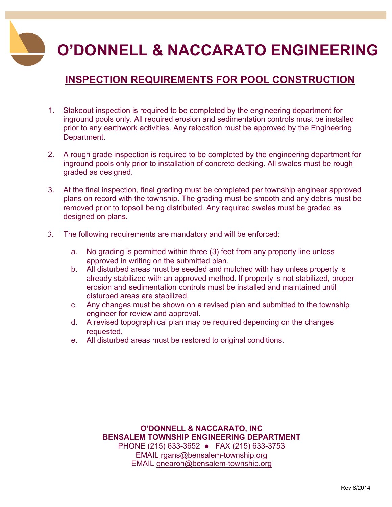**O'DONNELL & NACCARATO ENGINEERING**

## **INSPECTION REQUIREMENTS FOR POOL CONSTRUCTION**

- 1. Stakeout inspection is required to be completed by the engineering department for inground pools only. All required erosion and sedimentation controls must be installed prior to any earthwork activities. Any relocation must be approved by the Engineering Department.
- 2. A rough grade inspection is required to be completed by the engineering department for inground pools only prior to installation of concrete decking. All swales must be rough graded as designed.
- 3. At the final inspection, final grading must be completed per township engineer approved plans on record with the township. The grading must be smooth and any debris must be removed prior to topsoil being distributed. Any required swales must be graded as designed on plans.
- 3. The following requirements are mandatory and will be enforced:
	- a. No grading is permitted within three (3) feet from any property line unless approved in writing on the submitted plan.
	- b. All disturbed areas must be seeded and mulched with hay unless property is already stabilized with an approved method. If property is not stabilized, proper erosion and sedimentation controls must be installed and maintained until disturbed areas are stabilized.
	- c. Any changes must be shown on a revised plan and submitted to the township engineer for review and approval.
	- d. A revised topographical plan may be required depending on the changes requested.
	- e. All disturbed areas must be restored to original conditions.